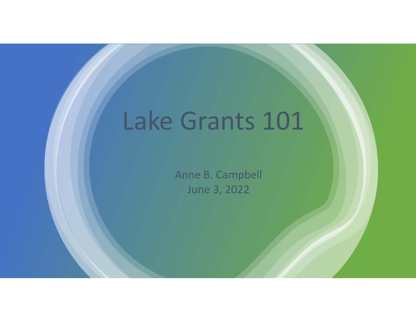## Lake Grants 101

Anne B. Campbell June 3, 2022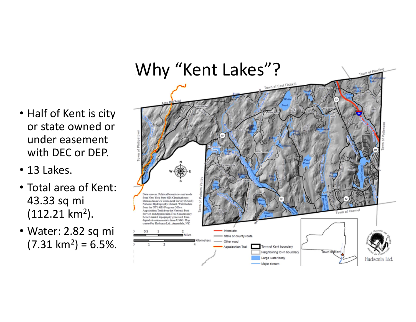#### Why "Kent Lakes"?

- Half of Kent is city or state owned or under easement with DEC or DEP.
- 13 Lakes.
- Total area of Kent: 43.33 sq mi (112.21 km 2).
- Water: 2.82 sq mi  $(7.31 \text{ km}^2) = 6.5\%.$

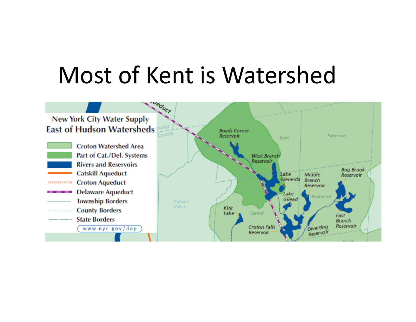## Most of Kent is Watershed

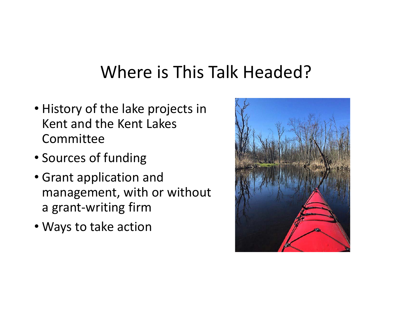#### Where is This Talk Headed?

- History of the lake projects in Kent and the Kent Lakes Committee
- Sources of funding
- Grant application and management, with or without a grant‐writing firm
- Ways to take action

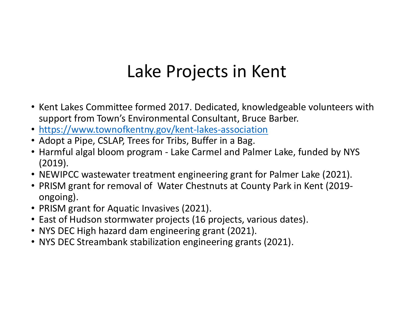#### Lake Projects in Kent

- Kent Lakes Committee formed 2017. Dedicated, knowledgeable volunteers with support from Town's Environmental Consultant, Bruce Barber.
- https://www.townofkentny.gov/kent-lakes-association
- Adopt a Pipe, CSLAP, Trees for Tribs, Buffer in a Bag.
- Harmful algal bloom program ‐ Lake Carmel and Palmer Lake, funded by NYS (2019).
- NEWIPCC wastewater treatment engineering grant for Palmer Lake (2021).
- PRISM grant for removal of Water Chestnuts at County Park in Kent (2019‐ ongoing).
- PRISM grant for Aquatic Invasives (2021).
- East of Hudson stormwater projects (16 projects, various dates).
- NYS DEC High hazard dam engineering grant (2021).
- NYS DEC Streambank stabilization engineering grants (2021).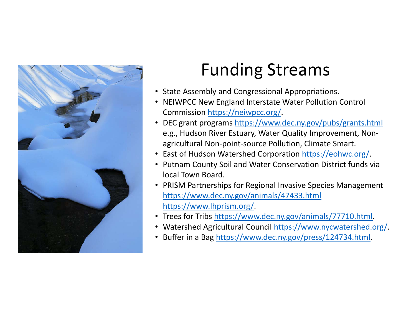

### Funding Streams

- State Assembly and Congressional Appropriations.
- NEIWPCC New England Interstate Water Pollution Control Commission https://neiwpcc.org/.
- DEC grant programs https://www.dec.ny.gov/pubs/grants.html e.g., Hudson River Estuary, Water Quality Improvement, Non‐ agricultural Non‐point‐source Pollution, Climate Smart.
- East of Hudson Watershed Corporation https://eohwc.org/
- Putnam County Soil and Water Conservation District funds via local Town Board.
- PRISM Partnerships for Regional Invasive Species Management https://www.dec.ny.gov/animals/47433.html https://www.lhprism.org/.
- Trees for Tribs https://www.dec.ny.gov/animals/77710.html.
- Watershed Agricultural Council https://www.nycwatershed.org/.
- Buffer in a Bag https://www.dec.ny.gov/press/124734.html.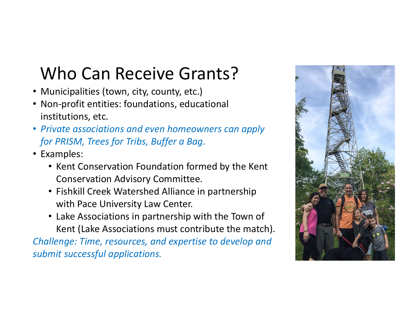### Who Can Receive Grants?

- Municipalities (town, city, county, etc.)
- Non‐profit entities: foundations, educational institutions, etc.
- *Private associations and even homeowners can apply for PRISM, Trees for Tribs, Buffer a Bag.*
- Examples:
	- Kent Conservation Foundation formed by the Kent Conservation Advisory Committee.
	- Fishkill Creek Watershed Alliance in partnership with Pace University Law Center.
	- Lake Associations in partnership with the Town of Kent (Lake Associations must contribute the match).

*Challenge: Time, resources, and expertise to develop and submit successful applications.*

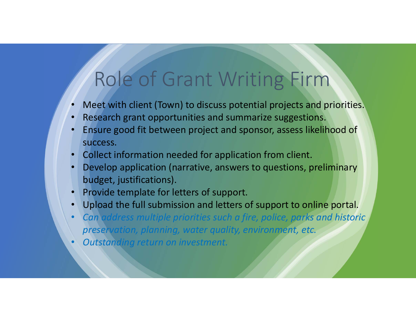## Role of Grant Writing Firm

- •Meet with client (Town) to discuss potential projects and priorities.
- •Research grant opportunities and summarize suggestions.
- • Ensure good fit between project and sponsor, assess likelihood of success.
- •Collect information needed for application from client.
- • Develop application (narrative, answers to questions, preliminary budget, justifications).
- •Provide template for letters of support.
- Upload the full submission and letters of support to online portal.
- • *Can address multiple priorities such a fire, police, parks and historic preservation, planning, water quality, environment, etc.*
- •*Outstanding return on investment.*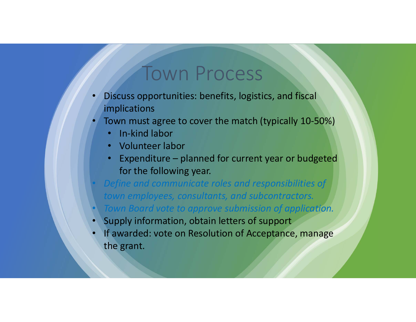#### Town Process

- • Discuss opportunities: benefits, logistics, and fiscal implications
- • Town must agree to cover the match (typically 10‐50%)
	- In-kind labor
	- Volunteer labor
	- Expenditure planned for current year or budgeted for the following year.
- *Define and communicate roles and responsibilities of town employees, consultants, and subcontractors.*
- $\subset$ *Town Board vote to approve submission of application.*
- •Supply information, obtain letters of support
- • If awarded: vote on Resolution of Acceptance, manage the grant.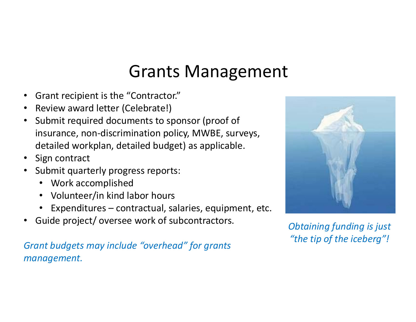#### Grants Management

- •Grant recipient is the "Contractor."
- •Review award letter (Celebrate!)
- $\bullet$  Submit required documents to sponsor (proof of insurance, non‐discrimination policy, MWBE, surveys, detailed workplan, detailed budget) as applicable.
- $\bullet$ Sign contract
- Submit quarterly progress reports:
	- Work accomplished
	- Volunteer/in kind labor hours
	- Expenditures contractual, salaries, equipment, etc.
- $\bullet$ Guide project/ oversee work of subcontractors.

*Grant budgets may include "overhead" for grants management.*



*Obtaining funding is just "the tip of the iceberg"!*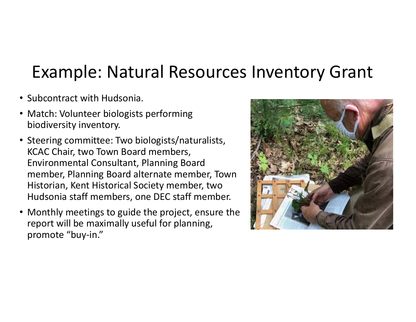#### Example: Natural Resources Inventory Grant

- Subcontract with Hudsonia.
- Match: Volunteer biologists performing biodiversity inventory.
- Steering committee: Two biologists/naturalists, KCAC Chair, two Town Board members, Environmental Consultant, Planning Board member, Planning Board alternate member, Town Historian, Kent Historical Society member, two Hudsonia staff members, one DEC staff member.
- Monthly meetings to guide the project, ensure the report will be maximally useful for planning, promote "buy-in."

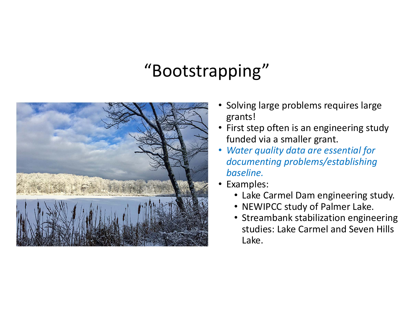#### "Bootstrapping"



- • Solving large problems requires large grants!
- First step often is an engineering study funded via a smaller grant.
- • *Water quality data are essential for documenting problems/establishing baseline.*
- Examples:
	- Lake Carmel Dam engineering study.
	- NEWIPCC study of Palmer Lake.
	- Streambank stabilization engineering studies: Lake Carmel and Seven Hills Lake.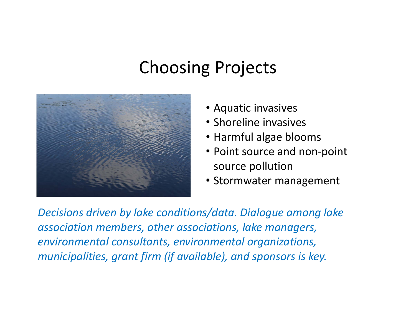#### Choosing Projects



- Aquatic invasives
- Shoreline invasives
- Harmful algae blooms
- Point source and non-point source pollution
- Stormwater management

*Decisions driven by lake conditions/data. Dialogue among lake association members, other associations, lake managers, environmental consultants, environmental organizations, municipalities, grant firm (if available), and sponsors is key.*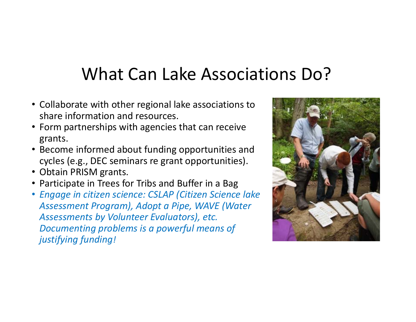#### What Can Lake Associations Do?

- Collaborate with other regional lake associations to share information and resources.
- Form partnerships with agencies that can receive grants.
- Become informed about funding opportunities and cycles (e.g., DEC seminars re grant opportunities).
- Obtain PRISM grants.
- Participate in Trees for Tribs and Buffer in a Bag
- *Engage in citizen science: CSLAP (Citizen Science lake Assessment Program), Adopt a Pipe, WAVE (Water Assessments by Volunteer Evaluators), etc. Documenting problems is a powerful means of justifying funding!*